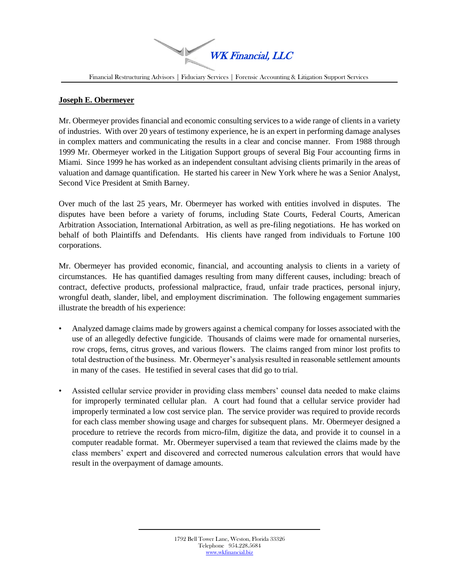WK Financial, LLC

Financial Restructuring Advisors | Fiduciary Services | Forensic Accounting & Litigation Support Services

## **Joseph E. Obermeyer**

Mr. Obermeyer provides financial and economic consulting services to a wide range of clients in a variety of industries. With over 20 years of testimony experience, he is an expert in performing damage analyses in complex matters and communicating the results in a clear and concise manner. From 1988 through 1999 Mr. Obermeyer worked in the Litigation Support groups of several Big Four accounting firms in Miami. Since 1999 he has worked as an independent consultant advising clients primarily in the areas of valuation and damage quantification. He started his career in New York where he was a Senior Analyst, Second Vice President at Smith Barney.

Over much of the last 25 years, Mr. Obermeyer has worked with entities involved in disputes. The disputes have been before a variety of forums, including State Courts, Federal Courts, American Arbitration Association, International Arbitration, as well as pre-filing negotiations. He has worked on behalf of both Plaintiffs and Defendants. His clients have ranged from individuals to Fortune 100 corporations.

Mr. Obermeyer has provided economic, financial, and accounting analysis to clients in a variety of circumstances. He has quantified damages resulting from many different causes, including: breach of contract, defective products, professional malpractice, fraud, unfair trade practices, personal injury, wrongful death, slander, libel, and employment discrimination. The following engagement summaries illustrate the breadth of his experience:

- Analyzed damage claims made by growers against a chemical company for losses associated with the use of an allegedly defective fungicide. Thousands of claims were made for ornamental nurseries, row crops, ferns, citrus groves, and various flowers. The claims ranged from minor lost profits to total destruction of the business. Mr. Obermeyer's analysis resulted in reasonable settlement amounts in many of the cases. He testified in several cases that did go to trial.
- Assisted cellular service provider in providing class members' counsel data needed to make claims for improperly terminated cellular plan. A court had found that a cellular service provider had improperly terminated a low cost service plan. The service provider was required to provide records for each class member showing usage and charges for subsequent plans. Mr. Obermeyer designed a procedure to retrieve the records from micro-film, digitize the data, and provide it to counsel in a computer readable format. Mr. Obermeyer supervised a team that reviewed the claims made by the class members' expert and discovered and corrected numerous calculation errors that would have result in the overpayment of damage amounts.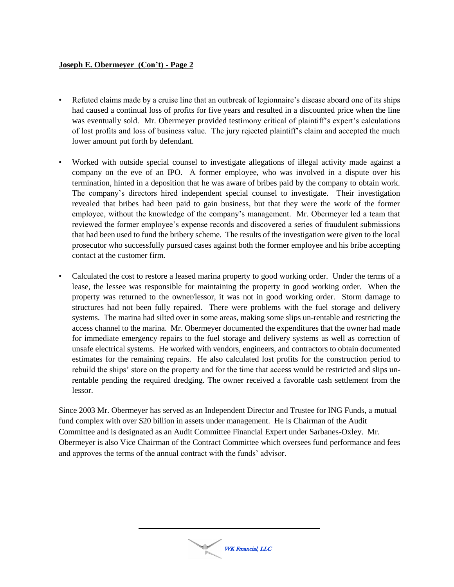## **Joseph E. Obermeyer (Con't) - Page 2**

- Refuted claims made by a cruise line that an outbreak of legionnaire's disease aboard one of its ships had caused a continual loss of profits for five years and resulted in a discounted price when the line was eventually sold. Mr. Obermeyer provided testimony critical of plaintiff's expert's calculations of lost profits and loss of business value. The jury rejected plaintiff's claim and accepted the much lower amount put forth by defendant.
- Worked with outside special counsel to investigate allegations of illegal activity made against a company on the eve of an IPO. A former employee, who was involved in a dispute over his termination, hinted in a deposition that he was aware of bribes paid by the company to obtain work. The company's directors hired independent special counsel to investigate. Their investigation revealed that bribes had been paid to gain business, but that they were the work of the former employee, without the knowledge of the company's management. Mr. Obermeyer led a team that reviewed the former employee's expense records and discovered a series of fraudulent submissions that had been used to fund the bribery scheme. The results of the investigation were given to the local prosecutor who successfully pursued cases against both the former employee and his bribe accepting contact at the customer firm.
- Calculated the cost to restore a leased marina property to good working order. Under the terms of a lease, the lessee was responsible for maintaining the property in good working order. When the property was returned to the owner/lessor, it was not in good working order. Storm damage to structures had not been fully repaired. There were problems with the fuel storage and delivery systems. The marina had silted over in some areas, making some slips un-rentable and restricting the access channel to the marina. Mr. Obermeyer documented the expenditures that the owner had made for immediate emergency repairs to the fuel storage and delivery systems as well as correction of unsafe electrical systems. He worked with vendors, engineers, and contractors to obtain documented estimates for the remaining repairs. He also calculated lost profits for the construction period to rebuild the ships' store on the property and for the time that access would be restricted and slips unrentable pending the required dredging. The owner received a favorable cash settlement from the lessor.

Since 2003 Mr. Obermeyer has served as an Independent Director and Trustee for ING Funds, a mutual fund complex with over \$20 billion in assets under management. He is Chairman of the Audit Committee and is designated as an Audit Committee Financial Expert under Sarbanes-Oxley. Mr. Obermeyer is also Vice Chairman of the Contract Committee which oversees fund performance and fees and approves the terms of the annual contract with the funds' advisor.